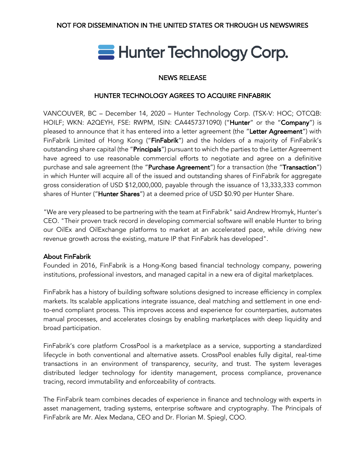# Hunter Technology Corp.

# NEWS RELEASE

# HUNTER TECHNOLOGY AGREES TO ACQUIRE FINFABRIK

VANCOUVER, BC – December 14, 2020 – Hunter Technology Corp. (TSX-V: HOC; OTCQB: HOILF; WKN: A2QEYH, FSE: RWPM, ISIN: CA4457371090) ("Hunter" or the "Company") is pleased to announce that it has entered into a letter agreement (the "Letter Agreement") with FinFabrik Limited of Hong Kong ("FinFabrik") and the holders of a majority of FinFabrik's outstanding share capital (the "**Principals**") pursuant to which the parties to the Letter Agreement have agreed to use reasonable commercial efforts to negotiate and agree on a definitive purchase and sale agreement (the "Purchase Agreement") for a transaction (the "Transaction") in which Hunter will acquire all of the issued and outstanding shares of FinFabrik for aggregate gross consideration of USD \$12,000,000, payable through the issuance of 13,333,333 common shares of Hunter ("Hunter Shares") at a deemed price of USD \$0.90 per Hunter Share.

"We are very pleased to be partnering with the team at FinFabrik" said Andrew Hromyk, Hunter's CEO. "Their proven track record in developing commercial software will enable Hunter to bring our OilEx and OilExchange platforms to market at an accelerated pace, while driving new revenue growth across the existing, mature IP that FinFabrik has developed".

## About FinFabrik

Founded in 2016, FinFabrik is a Hong-Kong based financial technology company, powering institutions, professional investors, and managed capital in a new era of digital marketplaces.

FinFabrik has a history of building software solutions designed to increase efficiency in complex markets. Its scalable applications integrate issuance, deal matching and settlement in one endto-end compliant process. This improves access and experience for counterparties, automates manual processes, and accelerates closings by enabling marketplaces with deep liquidity and broad participation.

FinFabrik's core platform CrossPool is a marketplace as a service, supporting a standardized lifecycle in both conventional and alternative assets. CrossPool enables fully digital, real-time transactions in an environment of transparency, security, and trust. The system leverages distributed ledger technology for identity management, process compliance, provenance tracing, record immutability and enforceability of contracts.

The FinFabrik team combines decades of experience in finance and technology with experts in asset management, trading systems, enterprise software and cryptography. The Principals of FinFabrik are Mr. Alex Medana, CEO and Dr. Florian M. Spiegl, COO.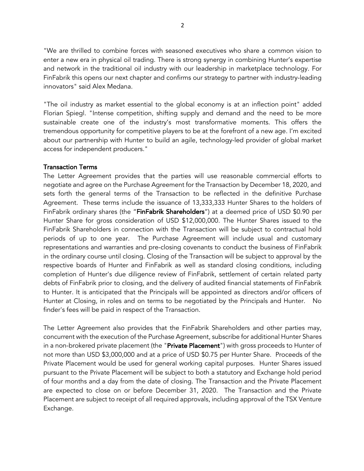"We are thrilled to combine forces with seasoned executives who share a common vision to enter a new era in physical oil trading. There is strong synergy in combining Hunter's expertise and network in the traditional oil industry with our leadership in marketplace technology. For FinFabrik this opens our next chapter and confirms our strategy to partner with industry-leading innovators" said Alex Medana.

"The oil industry as market essential to the global economy is at an inflection point" added Florian Spiegl. "Intense competition, shifting supply and demand and the need to be more sustainable create one of the industry's most transformative moments. This offers the tremendous opportunity for competitive players to be at the forefront of a new age. I'm excited about our partnership with Hunter to build an agile, technology-led provider of global market access for independent producers."

### Transaction Terms

The Letter Agreement provides that the parties will use reasonable commercial efforts to negotiate and agree on the Purchase Agreement for the Transaction by December 18, 2020, and sets forth the general terms of the Transaction to be reflected in the definitive Purchase Agreement. These terms include the issuance of 13,333,333 Hunter Shares to the holders of FinFabrik ordinary shares (the "FinFabrik Shareholders") at a deemed price of USD \$0.90 per Hunter Share for gross consideration of USD \$12,000,000. The Hunter Shares issued to the FinFabrik Shareholders in connection with the Transaction will be subject to contractual hold periods of up to one year. The Purchase Agreement will include usual and customary representations and warranties and pre-closing covenants to conduct the business of FinFabrik in the ordinary course until closing. Closing of the Transaction will be subject to approval by the respective boards of Hunter and FinFabrik as well as standard closing conditions, including completion of Hunter's due diligence review of FinFabrik, settlement of certain related party debts of FinFabrik prior to closing, and the delivery of audited financial statements of FinFabrik to Hunter. It is anticipated that the Principals will be appointed as directors and/or officers of Hunter at Closing, in roles and on terms to be negotiated by the Principals and Hunter. No finder's fees will be paid in respect of the Transaction.

The Letter Agreement also provides that the FinFabrik Shareholders and other parties may, concurrent with the execution of the Purchase Agreement, subscribe for additional Hunter Shares in a non-brokered private placement (the "Private Placement") with gross proceeds to Hunter of not more than USD \$3,000,000 and at a price of USD \$0.75 per Hunter Share. Proceeds of the Private Placement would be used for general working capital purposes. Hunter Shares issued pursuant to the Private Placement will be subject to both a statutory and Exchange hold period of four months and a day from the date of closing. The Transaction and the Private Placement are expected to close on or before December 31, 2020. The Transaction and the Private Placement are subject to receipt of all required approvals, including approval of the TSX Venture Exchange.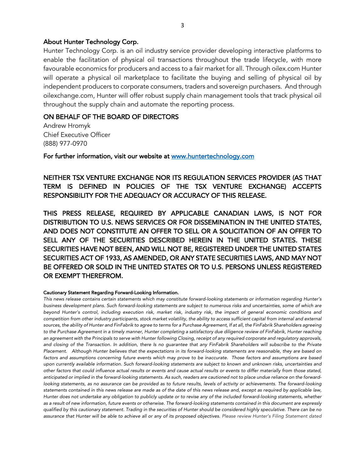#### About Hunter Technology Corp.

Hunter Technology Corp. is an oil industry service provider developing interactive platforms to enable the facilitation of physical oil transactions throughout the trade lifecycle, with more favourable economics for producers and access to a fair market for all. Through oilex.com Hunter will operate a physical oil marketplace to facilitate the buying and selling of physical oil by independent producers to corporate consumers, traders and sovereign purchasers. And through oilexchange.com, Hunter will offer robust supply chain management tools that track physical oil throughout the supply chain and automate the reporting process.

#### ON BEHALF OF THE BOARD OF DIRECTORS

Andrew Hromyk Chief Executive Officer (888) 977-0970

For further information, visit our website at www.huntertechnology.com

NEITHER TSX VENTURE EXCHANGE NOR ITS REGULATION SERVICES PROVIDER (AS THAT TERM IS DEFINED IN POLICIES OF THE TSX VENTURE EXCHANGE) ACCEPTS RESPONSIBILITY FOR THE ADEQUACY OR ACCURACY OF THIS RELEASE.

THIS PRESS RELEASE, REQUIRED BY APPLICABLE CANADIAN LAWS, IS NOT FOR DISTRIBUTION TO U.S. NEWS SERVICES OR FOR DISSEMINATION IN THE UNITED STATES, AND DOES NOT CONSTITUTE AN OFFER TO SELL OR A SOLICITATION OF AN OFFER TO SELL ANY OF THE SECURITIES DESCRIBED HEREIN IN THE UNITED STATES. THESE SECURITIES HAVE NOT BEEN, AND WILL NOT BE, REGISTERED UNDER THE UNITED STATES SECURITIES ACT OF 1933, AS AMENDED, OR ANY STATE SECURITIES LAWS, AND MAY NOT BE OFFERED OR SOLD IN THE UNITED STATES OR TO U.S. PERSONS UNLESS REGISTERED OR EXEMPT THEREFROM.

#### Cautionary Statement Regarding Forward-Looking Information.

*This news release contains certain statements which may constitute forward-looking statements or information regarding Hunter's business development plans. Such forward-looking statements are subject to numerous risks and uncertainties, some of which are beyond Hunter's control, including execution risk, market risk, industry risk, the impact of general economic conditions and*  competition from other industry participants, stock market volatility, the ability to access sufficient capital from internal and external *sources, the ability of Hunter and FinFabrik to agree to terms for a Purchase Agreement, If at all, the FinFabrik Shareholders agreeing*  to the Purchase Agreement in a timely manner, Hunter completing a satisfactory due diligence review of FinFabrik, Hunter reaching *an agreement with the Principals to serve with Hunter following Closing, receipt of any required corporate and regulatory approvals, and closing of the Transaction. In addition, there Is no guarantee that any FinFabrik Shareholders will subscribe to the Private Placement. Although Hunter believes that the expectations in its forward-looking statements are reasonable, they are based on*  factors and assumptions concerning future events which may prove to be inaccurate. Those factors and assumptions are based upon currently available information. Such forward-looking statements are subject to known and unknown risks, uncertainties and *other factors that could influence actual results or events and cause actual results or events to differ materially from those stated, anticipated or implied in the forward-looking statements. As such, readers are cautioned not to place undue reliance on the forward*looking statements, as no assurance can be provided as to future results, levels of activity or achievements. The forward-looking *statements contained in this news release are made as of the date of this news release and, except as required by applicable law, Hunter does not undertake any obligation to publicly update or to revise any of the included forward-looking statements, whether as a result of new information, future events or otherwise. The forward-looking statements contained in this document are expressly qualified by this cautionary statement. Trading in the securities of Hunter should be considered highly speculative. There can be no assurance that Hunter will be able to achieve all or any of its proposed objectives. Please review Hunter's Filing Statement dated*